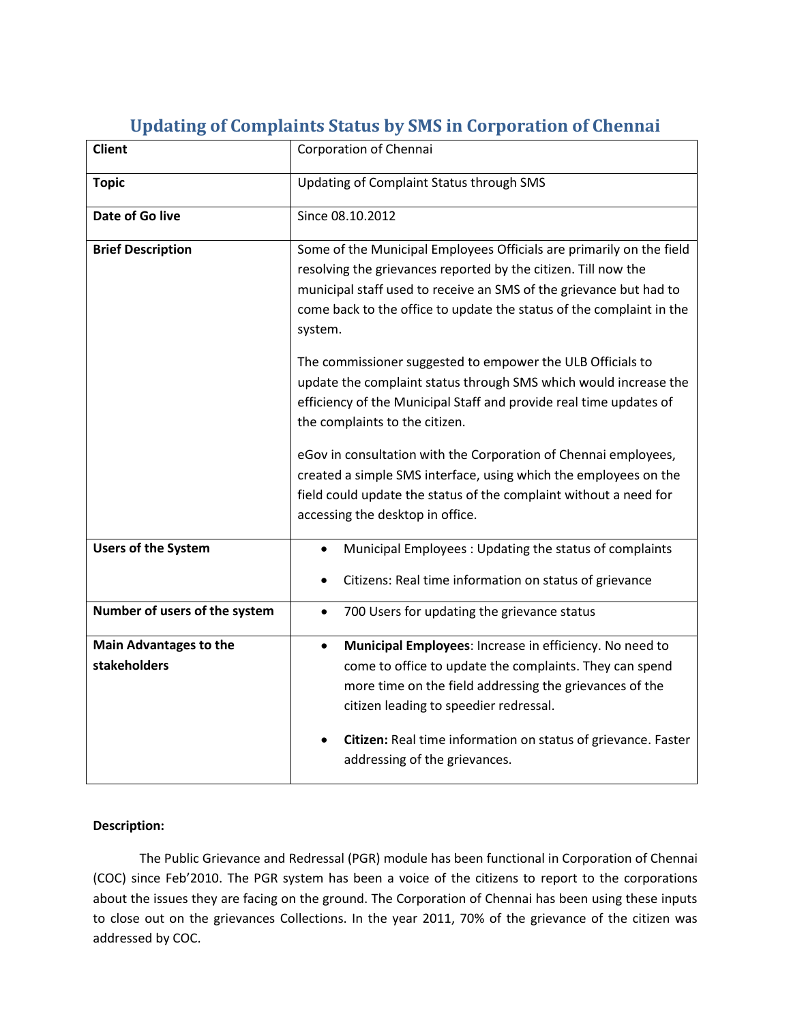| <b>Client</b>                                 | Corporation of Chennai                                                                                                                                                                                                                                                                                                                 |  |
|-----------------------------------------------|----------------------------------------------------------------------------------------------------------------------------------------------------------------------------------------------------------------------------------------------------------------------------------------------------------------------------------------|--|
| <b>Topic</b>                                  | Updating of Complaint Status through SMS                                                                                                                                                                                                                                                                                               |  |
| Date of Go live                               | Since 08.10.2012                                                                                                                                                                                                                                                                                                                       |  |
| <b>Brief Description</b>                      | Some of the Municipal Employees Officials are primarily on the field<br>resolving the grievances reported by the citizen. Till now the<br>municipal staff used to receive an SMS of the grievance but had to<br>come back to the office to update the status of the complaint in the<br>system.                                        |  |
|                                               | The commissioner suggested to empower the ULB Officials to<br>update the complaint status through SMS which would increase the<br>efficiency of the Municipal Staff and provide real time updates of<br>the complaints to the citizen.                                                                                                 |  |
|                                               | eGov in consultation with the Corporation of Chennai employees,<br>created a simple SMS interface, using which the employees on the<br>field could update the status of the complaint without a need for<br>accessing the desktop in office.                                                                                           |  |
| <b>Users of the System</b>                    | Municipal Employees: Updating the status of complaints<br>Citizens: Real time information on status of grievance                                                                                                                                                                                                                       |  |
| Number of users of the system                 | 700 Users for updating the grievance status<br>$\bullet$                                                                                                                                                                                                                                                                               |  |
| <b>Main Advantages to the</b><br>stakeholders | Municipal Employees: Increase in efficiency. No need to<br>$\bullet$<br>come to office to update the complaints. They can spend<br>more time on the field addressing the grievances of the<br>citizen leading to speedier redressal.<br>Citizen: Real time information on status of grievance. Faster<br>addressing of the grievances. |  |

# **Updating of Complaints Status by SMS in Corporation of Chennai**

### **Description:**

The Public Grievance and Redressal (PGR) module has been functional in Corporation of Chennai (COC) since Feb'2010. The PGR system has been a voice of the citizens to report to the corporations about the issues they are facing on the ground. The Corporation of Chennai has been using these inputs to close out on the grievances Collections. In the year 2011, 70% of the grievance of the citizen was addressed by COC.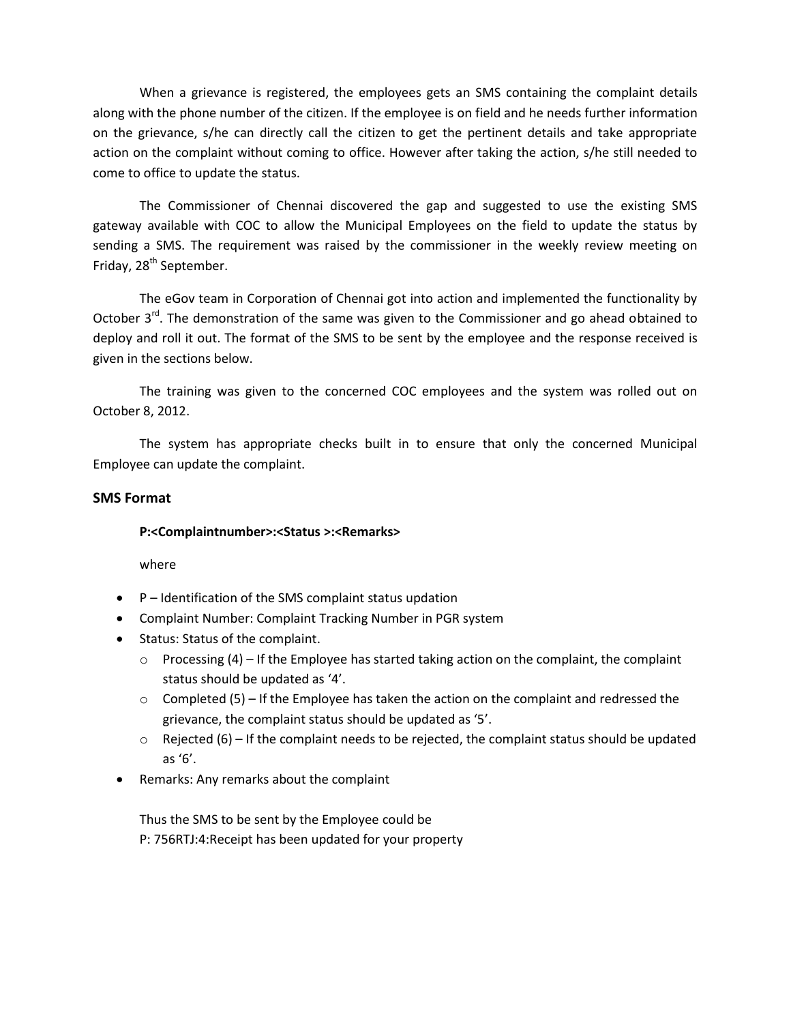When a grievance is registered, the employees gets an SMS containing the complaint details along with the phone number of the citizen. If the employee is on field and he needs further information on the grievance, s/he can directly call the citizen to get the pertinent details and take appropriate action on the complaint without coming to office. However after taking the action, s/he still needed to come to office to update the status.

The Commissioner of Chennai discovered the gap and suggested to use the existing SMS gateway available with COC to allow the Municipal Employees on the field to update the status by sending a SMS. The requirement was raised by the commissioner in the weekly review meeting on Friday, 28<sup>th</sup> September.

The eGov team in Corporation of Chennai got into action and implemented the functionality by October 3<sup>rd</sup>. The demonstration of the same was given to the Commissioner and go ahead obtained to deploy and roll it out. The format of the SMS to be sent by the employee and the response received is given in the sections below.

The training was given to the concerned COC employees and the system was rolled out on October 8, 2012.

The system has appropriate checks built in to ensure that only the concerned Municipal Employee can update the complaint.

### **SMS Format**

### **P:<Complaintnumber>:<Status >:<Remarks>**

where

- $\bullet$   $P$  Identification of the SMS complaint status updation
- Complaint Number: Complaint Tracking Number in PGR system
- Status: Status of the complaint.
	- $\circ$  Processing (4) If the Employee has started taking action on the complaint, the complaint status should be updated as '4'.
	- $\circ$  Completed (5) If the Employee has taken the action on the complaint and redressed the grievance, the complaint status should be updated as '5'.
	- $\circ$  Rejected (6) If the complaint needs to be rejected, the complaint status should be updated as '6'.
- Remarks: Any remarks about the complaint

Thus the SMS to be sent by the Employee could be P: 756RTJ:4:Receipt has been updated for your property